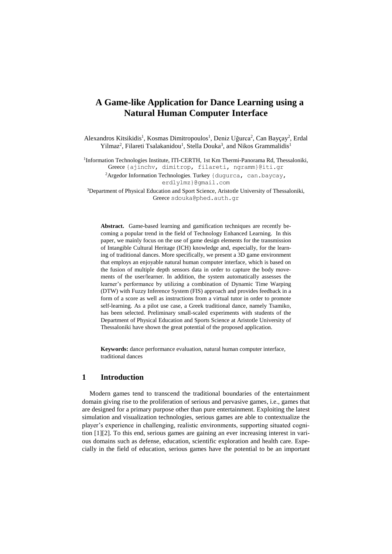# **A Game-like Application for Dance Learning using a Natural Human Computer Interface**

Alexandros Kitsikidis<sup>1</sup>, Kosmas Dimitropoulos<sup>1</sup>, Deniz Uğurca<sup>2</sup>, Can Bayçay<sup>2</sup>, Erdal Yilmaz<sup>2</sup>, Filareti Tsalakanidou<sup>1</sup>, Stella Douka<sup>3</sup>, and Nikos Grammalidis<sup>1</sup>

<sup>1</sup>Information Technologies Institute, ITI-CERTH, 1st Km Thermi-Panorama Rd, Thessaloniki,

Greece {ajinchv, dimitrop, filareti, ngramm}@iti.gr <sup>2</sup>Argedor Information Technologies, Turkey {duqurca, can.baycay,

[erdlylmz}@gmail.com](mailto:erdlylmz%7D@gmail.com)

<sup>3</sup>Department of Physical Education and Sport Science, Aristotle University of Thessaloniki, Greece sdouka@phed.auth.gr

Abstract. Game-based learning and gamification techniques are recently becoming a popular trend in the field of Technology Enhanced Learning. In this paper, we mainly focus on the use of game design elements for the transmission of Intangible Cultural Heritage (ICH) knowledge and, especially, for the learning of traditional dances. More specifically, we present a 3D game environment that employs an enjoyable natural human computer interface, which is based on the fusion of multiple depth sensors data in order to capture the body movements of the user/learner. In addition, the system automatically assesses the learner's performance by utilizing a combination of Dynamic Time Warping (DTW) with Fuzzy Inference System (FIS) approach and provides feedback in a form of a score as well as instructions from a virtual tutor in order to promote self-learning. As a pilot use case, a Greek traditional dance, namely Tsamiko, has been selected. Preliminary small-scaled experiments with students of the Department of Physical Education and Sports Science at Aristotle University of Thessaloniki have shown the great potential of the proposed application.

**Keywords:** dance performance evaluation, natural human computer interface, traditional dances

# **1 Introduction**

Modern games tend to transcend the traditional boundaries of the entertainment domain giving rise to the proliferation of serious and pervasive games, i.e., games that are designed for a primary purpose other than pure entertainment. Exploiting the latest simulation and visualization technologies, serious games are able to contextualize the player's experience in challenging, realistic environments, supporting situated cognition [\[1\]](#page-9-0)[\[2\]](#page-9-1). To this end, serious games are gaining an ever increasing interest in various domains such as defense, education, scientific exploration and health care. Especially in the field of education, serious games have the potential to be an important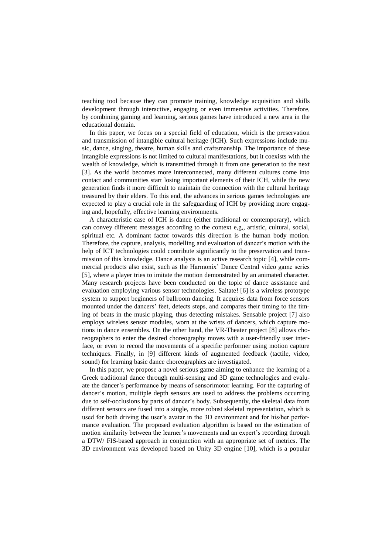teaching tool because they can promote training, knowledge acquisition and skills development through interactive, engaging or even immersive activities. Therefore, by combining gaming and learning, serious games have introduced a new area in the educational domain.

In this paper, we focus on a special field of education, which is the preservation and transmission of intangible cultural heritage (ICH). Such expressions include music, dance, singing, theatre, human skills and craftsmanship. The importance of these intangible expressions is not limited to cultural manifestations, but it coexists with the wealth of knowledge, which is transmitted through it from one generation to the next [\[3\]](#page-9-2). As the world becomes more interconnected, many different cultures come into contact and communities start losing important elements of their ICH, while the new generation finds it more difficult to maintain the connection with the cultural heritage treasured by their elders. To this end, the advances in serious games technologies are expected to play a crucial role in the safeguarding of ICH by providing more engaging and, hopefully, effective learning environments.

A characteristic case of ICH is dance (either traditional or contemporary), which can convey different messages according to the context e,g,, artistic, cultural, social, spiritual etc. A dominant factor towards this direction is the human body motion. Therefore, the capture, analysis, modelling and evaluation of dancer's motion with the help of ICT technologies could contribute significantly to the preservation and transmission of this knowledge. Dance analysis is an active research topic [\[4\]](#page-10-0), while commercial products also exist, such as the Harmonix' Dance Central video game series [\[5\]](#page-10-1), where a player tries to imitate the motion demonstrated by an animated character. Many research projects have been conducted on the topic of dance assistance and evaluation employing various sensor technologies. Saltate! [\[6\]](#page-10-2) is a wireless prototype system to support beginners of ballroom dancing. It acquires data from force sensors mounted under the dancers' feet, detects steps, and compares their timing to the timing of beats in the music playing, thus detecting mistakes. Sensable project [\[7\]](#page-10-3) also employs wireless sensor modules, worn at the wrists of dancers, which capture motions in dance ensembles. On the other hand, the VR-Theater project [\[8\]](#page-10-4) allows choreographers to enter the desired choreography moves with a user-friendly user interface, or even to record the movements of a specific performer using motion capture techniques. Finally, in [\[9\]](#page-10-5) different kinds of augmented feedback (tactile, video, sound) for learning basic dance choreographies are investigated.

In this paper, we propose a novel serious game aiming to enhance the learning of a Greek traditional dance through multi-sensing and 3D game technologies and evaluate the dancer's performance by means of sensorimotor learning. For the capturing of dancer's motion, multiple depth sensors are used to address the problems occurring due to self-occlusions by parts of dancer's body. Subsequently, the skeletal data from different sensors are fused into a single, more robust skeletal representation, which is used for both driving the user's avatar in the 3D environment and for his/her performance evaluation. The proposed evaluation algorithm is based on the estimation of motion similarity between the learner's movements and an expert's recording through a DTW/ FIS-based approach in conjunction with an appropriate set of metrics. The 3D environment was developed based on Unity 3D engine [\[10\]](#page-10-6), which is a popular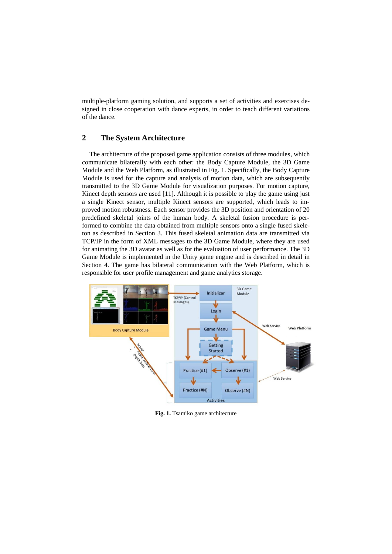multiple-platform gaming solution, and supports a set of activities and exercises designed in close cooperation with dance experts, in order to teach different variations of the dance.

# **2 The System Architecture**

The architecture of the proposed game application consists of three modules, which communicate bilaterally with each other: the Body Capture Module, the 3D Game Module and the Web Platform, as illustrated in [Fig. 1.](#page-2-0) Specifically, the Body Capture Module is used for the capture and analysis of motion data, which are subsequently transmitted to the 3D Game Module for visualization purposes. For motion capture, Kinect depth sensors are used [\[11\]](#page-10-7). Although it is possible to play the game using just a single Kinect sensor, multiple Kinect sensors are supported, which leads to improved motion robustness. Each sensor provides the 3D position and orientation of 20 predefined skeletal joints of the human body. A skeletal fusion procedure is performed to combine the data obtained from multiple sensors onto a single fused skeleton as described in Section [3.](#page-3-0) This fused skeletal animation data are transmitted via TCP/IP in the form of XML messages to the 3D Game Module, where they are used for animating the 3D avatar as well as for the evaluation of user performance. The 3D Game Module is implemented in the Unity game engine and is described in detail in Section [4.](#page-4-0) The game has bilateral communication with the Web Platform, which is responsible for user profile management and game analytics storage.



<span id="page-2-0"></span>**Fig. 1.** Tsamiko game architecture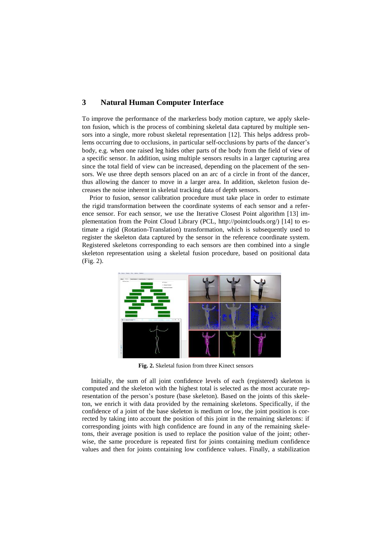### <span id="page-3-0"></span>**3 Natural Human Computer Interface**

To improve the performance of the markerless body motion capture, we apply skeleton fusion, which is the process of combining skeletal data captured by multiple sensors into a single, more robust skeletal representation [\[12\]](#page-10-8). This helps address problems occurring due to occlusions, in particular self-occlusions by parts of the dancer's body, e.g. when one raised leg hides other parts of the body from the field of view of a specific sensor. In addition, using multiple sensors results in a larger capturing area since the total field of view can be increased, depending on the placement of the sensors. We use three depth sensors placed on an arc of a circle in front of the dancer, thus allowing the dancer to move in a larger area. In addition, skeleton fusion decreases the noise inherent in skeletal tracking data of depth sensors.

Prior to fusion, sensor calibration procedure must take place in order to estimate the rigid transformation between the coordinate systems of each sensor and a reference sensor. For each sensor, we use the Iterative Closest Point algorithm [\[13\]](#page-10-9) implementation from the Point Cloud Library (PCL, [http://pointclouds.org/\)](http://pointclouds.org/) [\[14\]](#page-10-10) to estimate a rigid (Rotation-Translation) transformation, which is subsequently used to register the skeleton data captured by the sensor in the reference coordinate system. Registered skeletons corresponding to each sensors are then combined into a single skeleton representation using a skeletal fusion procedure, based on positional data [\(Fig. 2\)](#page-3-1).



**Fig. 2.** Skeletal fusion from three Kinect sensors

<span id="page-3-1"></span>Initially, the sum of all joint confidence levels of each (registered) skeleton is computed and the skeleton with the highest total is selected as the most accurate representation of the person's posture (base skeleton). Based on the joints of this skeleton, we enrich it with data provided by the remaining skeletons. Specifically, if the confidence of a joint of the base skeleton is medium or low, the joint position is corrected by taking into account the position of this joint in the remaining skeletons: if corresponding joints with high confidence are found in any of the remaining skeletons, their average position is used to replace the position value of the joint; otherwise, the same procedure is repeated first for joints containing medium confidence values and then for joints containing low confidence values. Finally, a stabilization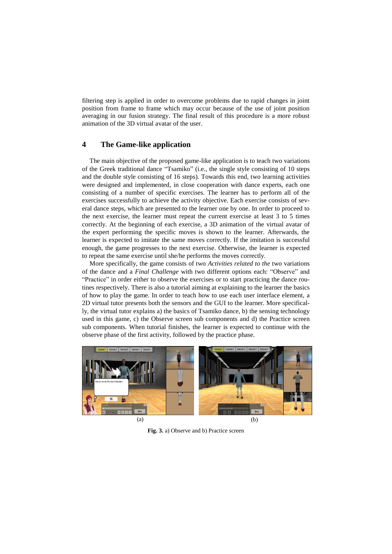filtering step is applied in order to overcome problems due to rapid changes in joint position from frame to frame which may occur because of the use of joint position averaging in our fusion strategy. The final result of this procedure is a more robust animation of the 3D virtual avatar of the user.

### <span id="page-4-0"></span>**4 The Game-like application**

The main objective of the proposed game-like application is to teach two variations of the Greek traditional dance "Tsamiko" (i.e., the single style consisting of 10 steps and the double style consisting of 16 steps). Towards this end, two learning activities were designed and implemented, in close cooperation with dance experts, each one consisting of a number of specific exercises. The learner has to perform all of the exercises successfully to achieve the activity objective. Each exercise consists of several dance steps, which are presented to the learner one by one. In order to proceed to the next exercise, the learner must repeat the current exercise at least 3 to 5 times correctly. At the beginning of each exercise, a 3D animation of the virtual avatar of the expert performing the specific moves is shown to the learner. Afterwards, the learner is expected to imitate the same moves correctly. If the imitation is successful enough, the game progresses to the next exercise. Otherwise, the learner is expected to repeat the same exercise until she/he performs the moves correctly.

More specifically, the game consists of two *Activities related to the* two variations of the dance and a *Final Challenge* with two different options each: "Observe" and "Practice" in order either to observe the exercises or to start practicing the dance routines respectively. There is also a tutorial aiming at explaining to the learner the basics of how to play the game. In order to teach how to use each user interface element, a 2D virtual tutor presents both the sensors and the GUI to the learner. More specifically, the virtual tutor explains a) the basics of Tsamiko dance, b) the sensing technology used in this game, c) the Observe screen sub components and d) the Practice screen sub components. When tutorial finishes, the learner is expected to continue with the observe phase of the first activity, followed by the practice phase.

<span id="page-4-1"></span>

**Fig. 3.** a) Observe and b) Practice screen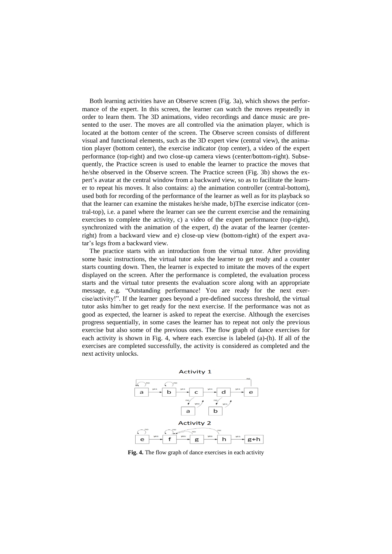Both learning activities have an Observe screen [\(Fig. 3a](#page-4-1)), which shows the performance of the expert. In this screen, the learner can watch the moves repeatedly in order to learn them. The 3D animations, video recordings and dance music are presented to the user. The moves are all controlled via the animation player, which is located at the bottom center of the screen. The Observe screen consists of different visual and functional elements, such as the 3D expert view (central view), the animation player (bottom center), the exercise indicator (top center), a video of the expert performance (top-right) and two close-up camera views (center/bottom-right). Subsequently, the Practice screen is used to enable the learner to practice the moves that he/she observed in the Observe screen. The Practice screen [\(Fig. 3b](#page-4-1)) shows the expert's avatar at the central window from a backward view, so as to facilitate the learner to repeat his moves. It also contains: a) the animation controller (central-bottom), used both for recording of the performance of the learner as well as for its playback so that the learner can examine the mistakes he/she made, b)The exercise indicator (central-top), i.e. a panel where the learner can see the current exercise and the remaining exercises to complete the activity, c) a video of the expert performance (top-right), synchronized with the animation of the expert, d) the avatar of the learner (centerright) from a backward view and e) close-up view (bottom-right) of the expert avatar's legs from a backward view.

The practice starts with an introduction from the virtual tutor. After providing some basic instructions, the virtual tutor asks the learner to get ready and a counter starts counting down. Then, the learner is expected to imitate the moves of the expert displayed on the screen. After the performance is completed, the evaluation process starts and the virtual tutor presents the evaluation score along with an appropriate message, e.g. "Outstanding performance! You are ready for the next exercise/activity!". If the learner goes beyond a pre-defined success threshold, the virtual tutor asks him/her to get ready for the next exercise. If the performance was not as good as expected, the learner is asked to repeat the exercise. Although the exercises progress sequentially, in some cases the learner has to repeat not only the previous exercise but also some of the previous ones. The flow graph of dance exercises for each activity is shown in [Fig. 4,](#page-5-0) where each exercise is labeled (a)-(h). If all of the exercises are completed successfully, the activity is considered as completed and the next activity unlocks.



<span id="page-5-0"></span>**Fig. 4.** The flow graph of dance exercises in each activity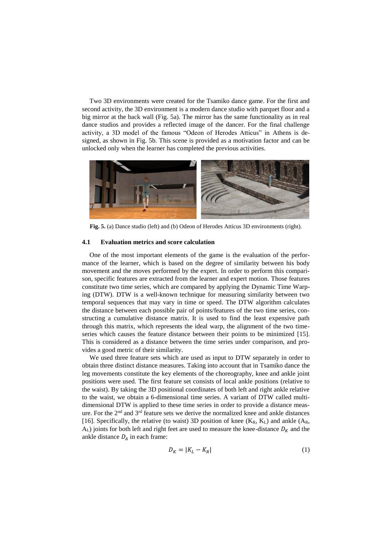Two 3D environments were created for the Tsamiko dance game. For the first and second activity, the 3D environment is a modern dance studio with parquet floor and a big mirror at the back wall [\(Fig. 5a](#page-6-0)). The mirror has the same functionality as in real dance studios and provides a reflected image of the dancer. For the final challenge activity, a 3D model of the famous "Odeon of Herodes Atticus" in Athens is designed, as shown in [Fig. 5b](#page-6-0). This scene is provided as a motivation factor and can be unlocked only when the learner has completed the previous activities.



**Fig. 5.** (a) Dance studio (left) and (b) Odeon of Herodes Atticus 3D environments (right).

#### <span id="page-6-0"></span>**4.1 Evaluation metrics and score calculation**

One of the most important elements of the game is the evaluation of the performance of the learner, which is based on the degree of similarity between his body movement and the moves performed by the expert. In order to perform this comparison, specific features are extracted from the learner and expert motion. Those features constitute two time series, which are compared by applying the Dynamic Time Warping (DTW). DTW is a well-known technique for measuring similarity between two temporal sequences that may vary in time or speed. The DTW algorithm calculates the distance between each possible pair of points/features of the two time series, constructing a cumulative distance matrix. It is used to find the least expensive path through this matrix, which represents the ideal warp, the alignment of the two timeseries which causes the feature distance between their points to be minimized [\[15\]](#page-10-11). This is considered as a distance between the time series under comparison, and provides a good metric of their similarity.

We used three feature sets which are used as input to DTW separately in order to obtain three distinct distance measures. Taking into account that in Tsamiko dance the leg movements constitute the key elements of the choreography, knee and ankle joint positions were used. The first feature set consists of local ankle positions (relative to the waist). By taking the 3D positional coordinates of both left and right ankle relative to the waist, we obtain a 6-dimensional time series. A variant of DTW called multidimensional DTW is applied to these time series in order to provide a distance measure. For the 2<sup>nd</sup> and 3<sup>rd</sup> feature sets we derive the normalized knee and ankle distances [\[16\]](#page-10-12). Specifically, the relative (to waist) 3D position of knee  $(K_R, K_L)$  and ankle  $(A_R,$  $A_L$ ) joints for both left and right feet are used to measure the knee-distance  $D_K$  and the ankle distance  $D_A$  in each frame:

$$
D_K = |K_L - K_R| \tag{1}
$$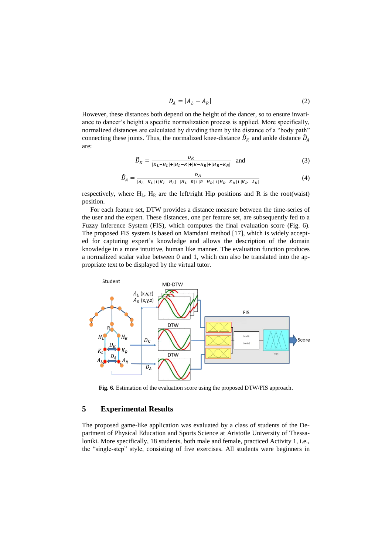$$
D_A = |A_L - A_R| \tag{2}
$$

However, these distances both depend on the height of the dancer, so to ensure invariance to dancer's height a specific normalization process is applied. More specifically, normalized distances are calculated by dividing them by the distance of a "body path" connecting these joints. Thus, the normalized knee-distance  $\widehat{D}_K$  and ankle distance  $\widehat{D}_A$ are:

$$
\widehat{D}_K = \frac{D_K}{|K_L - H_L| + |H_L - R| + |R - H_R| + |H_R - K_R|} \quad \text{and} \tag{3}
$$

$$
\widehat{D}_A = \frac{D_A}{|A_L - K_L| + |K_L - H_L| + |H_L - R| + |R - H_R| + |H_R - K_R| + |K_R - A_R|}
$$
(4)

respectively, where  $H_L$ ,  $H_R$  are the left/right Hip positions and R is the root(waist) position.

 For each feature set, DTW provides a distance measure between the time-series of the user and the expert. These distances, one per feature set, are subsequently fed to a Fuzzy Inference System (FIS), which computes the final evaluation score [\(Fig. 6\)](#page-7-0). The proposed FIS system is based on Mamdani method [\[17\]](#page-10-13), which is widely accepted for capturing expert's knowledge and allows the description of the domain knowledge in a more intuitive, human like manner. The evaluation function produces a normalized scalar value between 0 and 1, which can also be translated into the appropriate text to be displayed by the virtual tutor.



<span id="page-7-0"></span>**Fig. 6.** Estimation of the evaluation score using the proposed DTW/FIS approach.

# **5 Experimental Results**

The proposed game-like application was evaluated by a class of students of the Department of Physical Education and Sports Science at Aristotle University of Thessaloniki. More specifically, 18 students, both male and female, practiced Activity 1, i.e., the "single-step" style, consisting of five exercises. All students were beginners in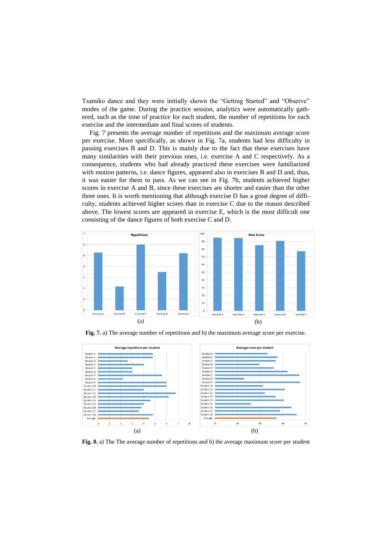Tsamiko dance and they were initially shown the "Getting Started" and "Observe" modes of the game. During the practice session, analytics were automatically gathered, such as the time of practice for each student, the number of repetitions for each exercise and the intermediate and final scores of students.

[Fig. 7](#page-8-0) presents the average number of repetitions and the maximum average score per exercise. More specifically, as shown in [Fig. 7a](#page-8-0), students had less difficulty in passing exercises B and D. This is mainly due to the fact that these exercises have many similarities with their previous ones, i.e. exercise A and C respectively. As a consequence, students who had already practiced these exercises were familiarized with motion patterns, i.e. dance figures, appeared also in exercises B and D and, thus, it was easier for them to pass. As we can see in [Fig. 7b](#page-8-0), students achieved higher scores in exercise A and B, since these exercises are shorter and easier than the other three ones. It is worth mentioning that although exercise D has a great degree of difficulty, students achieved higher scores than in exercise C due to the reason described above. The lowest scores are appeared in exercise E, which is the most difficult one consisting of the dance figures of both exercise C and D.



<span id="page-8-0"></span>**Fig. 7.** a) The average number of repetitions and b) the maximum average score per exercise.



<span id="page-8-1"></span>**Fig. 8.** a) The The average number of repetitions and b) the average maximum score per student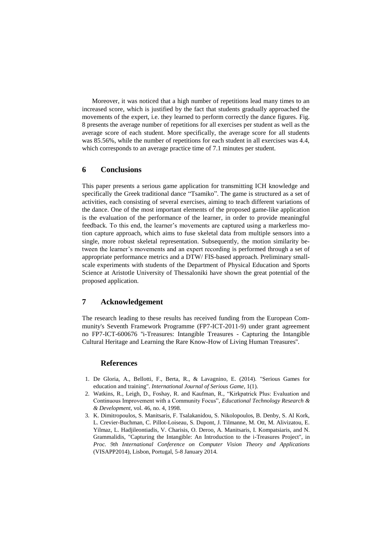Moreover, it was noticed that a high number of repetitions lead many times to an increased score, which is justified by the fact that students gradually approached the movements of the expert, i.e. they learned to perform correctly the dance figures. [Fig.](#page-8-1)  [8](#page-8-1) presents the average number of repetitions for all exercises per student as well as the average score of each student. More specifically, the average score for all students was 85.56%, while the number of repetitions for each student in all exercises was 4.4, which corresponds to an average practice time of 7.1 minutes per student.

# **6 Conclusions**

This paper presents a serious game application for transmitting ICH knowledge and specifically the Greek traditional dance "Tsamiko". The game is structured as a set of activities, each consisting of several exercises, aiming to teach different variations of the dance. One of the most important elements of the proposed game-like application is the evaluation of the performance of the learner, in order to provide meaningful feedback. To this end, the learner's movements are captured using a markerless motion capture approach, which aims to fuse skeletal data from multiple sensors into a single, more robust skeletal representation. Subsequently, the motion similarity between the learner's movements and an expert recording is performed through a set of appropriate performance metrics and a DTW/ FIS-based approach. Preliminary smallscale experiments with students of the Department of Physical Education and Sports Science at Aristotle University of Thessaloniki have shown the great potential of the proposed application.

# **7 Acknowledgement**

The research leading to these results has received funding from the European Community's Seventh Framework Programme (FP7-ICT-2011-9) under grant agreement no FP7-ICT-600676 ''i-Treasures: Intangible Treasures - Capturing the Intangible Cultural Heritage and Learning the Rare Know-How of Living Human Treasures''.

#### **References**

- <span id="page-9-0"></span>1. De Gloria, A., Bellotti, F., Berta, R., & Lavagnino, E. (2014). "Serious Games for education and training". *International Journal of Serious Game*, 1(1).
- <span id="page-9-1"></span>2. Watkins, R., Leigh, D., Foshay, R. and Kaufman, R., "Kirkpatrick Plus: Evaluation and Continuous Improvement with a Community Focus", *Educational Technology Research & & Development*, vol. 46, no. 4, 1998.
- <span id="page-9-2"></span>3. K. Dimitropoulos, S. Manitsaris, F. Tsalakanidou, S. Nikolopoulos, B. Denby, S. Al Kork, L. Crevier-Buchman, C. Pillot-Loiseau, S. Dupont, J. Tilmanne, M. Ott, M. Alivizatou, E. Yilmaz, L. Hadjileontiadis, V. Charisis, O. Deroo, A. Manitsaris, I. Kompatsiaris, and N. Grammalidis, "Capturing the Intangible: An Introduction to the i-Treasures Project", in *Proc. 9th International Conference on Computer Vision Theory and Applications*  (VISAPP2014), Lisbon, Portugal, 5-8 January 2014.